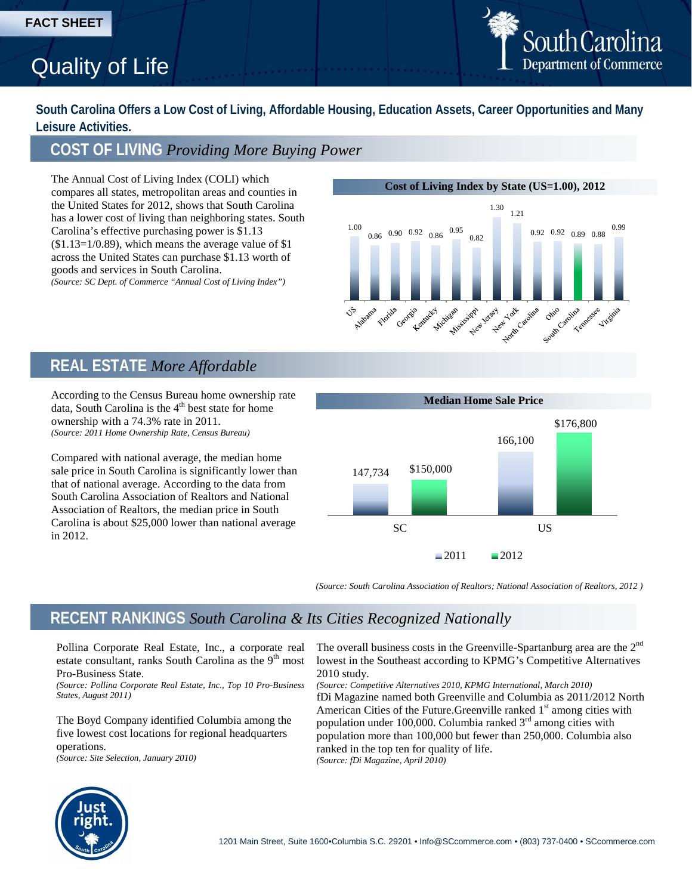# Quality of Life

South Carolina **Department of Commerce** 

**South Carolina Offers a Low Cost of Living, Affordable Housing, Education Assets, Career Opportunities and Many Leisure Activities.**

### **COST OF LIVING** *Providing More Buying Power*

The Annual Cost of Living Index (COLI) which compares all states, metropolitan areas and counties in the United States for 2012, shows that South Carolina has a lower cost of living than neighboring states. South Carolina's effective purchasing power is \$1.13  $($1.13=1/0.89)$ , which means the average value of \$1 across the United States can purchase \$1.13 worth of goods and services in South Carolina. *(Source: SC Dept. of Commerce "Annual Cost of Living Index")*

### **Cost of Living Index by State (US=1.00), 2012**



### **REAL ESTATE** *More Affordable*

According to the Census Bureau home ownership rate data, South Carolina is the  $4<sup>th</sup>$  best state for home ownership with a 74.3% rate in 2011. *(Source: 2011 Home Ownership Rate, Census Bureau)*

Compared with national average, the median home sale price in South Carolina is significantly lower than that of national average. According to the data from South Carolina Association of Realtors and National Association of Realtors, the median price in South Carolina is about \$25,000 lower than national average in 2012.



*(Source: South Carolina Association of Realtors; National Association of Realtors, 2012 )*

### **RECENT RANKINGS** *South Carolina & Its Cities Recognized Nationally*

Pollina Corporate Real Estate, Inc., a corporate real estate consultant, ranks South Carolina as the  $9<sup>th</sup>$  most Pro-Business State.

*(Source: Pollina Corporate Real Estate, Inc., Top 10 Pro-Business States, August 2011)*

The Boyd Company identified Columbia among the five lowest cost locations for regional headquarters operations. *(Source: Site Selection, January 2010)*

The overall business costs in the Greenville-Spartanburg area are the 2<sup>nd</sup> lowest in the Southeast according to KPMG's Competitive Alternatives 2010 study.

*(Source: Competitive Alternatives 2010, KPMG International, March 2010)* fDi Magazine named both Greenville and Columbia as 2011/2012 North American Cities of the Future. Greenville ranked  $1<sup>st</sup>$  among cities with population under 100,000. Columbia ranked  $3<sup>rd</sup>$  among cities with population more than 100,000 but fewer than 250,000. Columbia also ranked in the top ten for quality of life. *(Source: fDi Magazine, April 2010)*